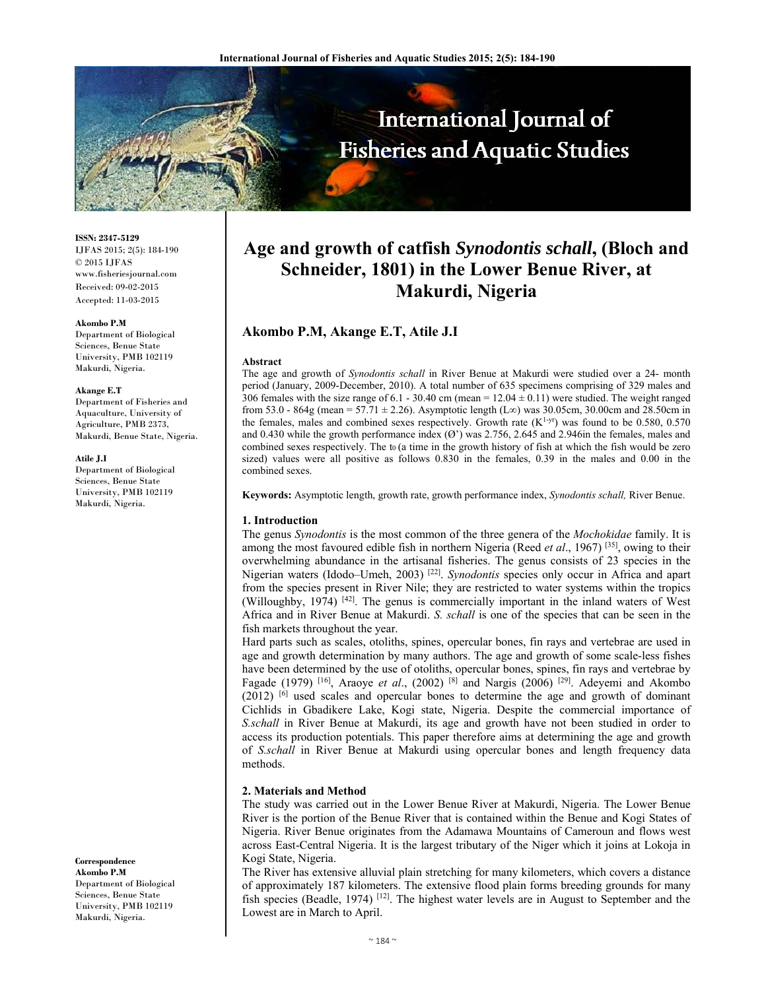

**ISSN: 2347-5129** IJFAS 2015; 2(5): 184-190  $\odot$  2015 IJFAS www.fisheriesjournal.com Received: 09-02-2015 Accepted: 11-03-2015

#### **Akombo P.M**

Department of Biological Sciences, Benue State University, PMB 102119 Makurdi, Nigeria.

#### **Akange E.T**

Department of Fisheries and Aquaculture, University of Agriculture, PMB 2373, Makurdi, Benue State, Nigeria.

#### **Atile J.I**

Department of Biological Sciences, Benue State University, PMB 102119 Makurdi, Nigeria.

**Correspondence Akombo P.M**  Department of Biological Sciences, Benue State University, PMB 102119 Makurdi, Nigeria.

# **Age and growth of catfish** *Synodontis schall***, (Bloch and Schneider, 1801) in the Lower Benue River, at Makurdi, Nigeria**

# **Akombo P.M, Akange E.T, Atile J.I**

#### **Abstract**

The age and growth of *Synodontis schall* in River Benue at Makurdi were studied over a 24- month period (January, 2009-December, 2010). A total number of 635 specimens comprising of 329 males and 306 females with the size range of 6.1 - 30.40 cm (mean =  $12.04 \pm 0.11$ ) were studied. The weight ranged from 53.0 - 864g (mean = 57.71 ± 2.26). Asymptotic length (L∞) was 30.05cm, 30.00cm and 28.50cm in the females, males and combined sexes respectively. Growth rate  $(K^{1-yr})$  was found to be 0.580, 0.570 and 0.430 while the growth performance index  $(\mathcal{O})$  was 2.756, 2.645 and 2.946in the females, males and combined sexes respectively. The to (a time in the growth history of fish at which the fish would be zero sized) values were all positive as follows 0.830 in the females, 0.39 in the males and 0.00 in the combined sexes.

**Keywords:** Asymptotic length, growth rate, growth performance index, *Synodontis schall,* River Benue.

#### **1. Introduction**

The genus *Synodontis* is the most common of the three genera of the *Mochokidae* family. It is among the most favoured edible fish in northern Nigeria (Reed *et al*., 1967) [35], owing to their overwhelming abundance in the artisanal fisheries. The genus consists of 23 species in the Nigerian waters (Idodo–Umeh, 2003) [22]. *Synodontis* species only occur in Africa and apart from the species present in River Nile; they are restricted to water systems within the tropics (Willoughby, 1974) [42]. The genus is commercially important in the inland waters of West Africa and in River Benue at Makurdi. *S. schall* is one of the species that can be seen in the fish markets throughout the year.

Hard parts such as scales, otoliths, spines, opercular bones, fin rays and vertebrae are used in age and growth determination by many authors. The age and growth of some scale-less fishes have been determined by the use of otoliths, opercular bones, spines, fin rays and vertebrae by Fagade (1979) <sup>[16]</sup>, Araoye *et al.*, (2002) <sup>[8]</sup> and Nargis (2006) <sup>[29]</sup>. Adeyemi and Akombo  $(2012)$  [6] used scales and opercular bones to determine the age and growth of dominant Cichlids in Gbadikere Lake, Kogi state, Nigeria. Despite the commercial importance of *S.schall* in River Benue at Makurdi, its age and growth have not been studied in order to access its production potentials. This paper therefore aims at determining the age and growth of *S.schall* in River Benue at Makurdi using opercular bones and length frequency data methods.

## **2. Materials and Method**

The study was carried out in the Lower Benue River at Makurdi, Nigeria. The Lower Benue River is the portion of the Benue River that is contained within the Benue and Kogi States of Nigeria. River Benue originates from the Adamawa Mountains of Cameroun and flows west across East-Central Nigeria. It is the largest tributary of the Niger which it joins at Lokoja in Kogi State, Nigeria.

The River has extensive alluvial plain stretching for many kilometers, which covers a distance of approximately 187 kilometers. The extensive flood plain forms breeding grounds for many fish species (Beadle, 1974) [12]. The highest water levels are in August to September and the Lowest are in March to April.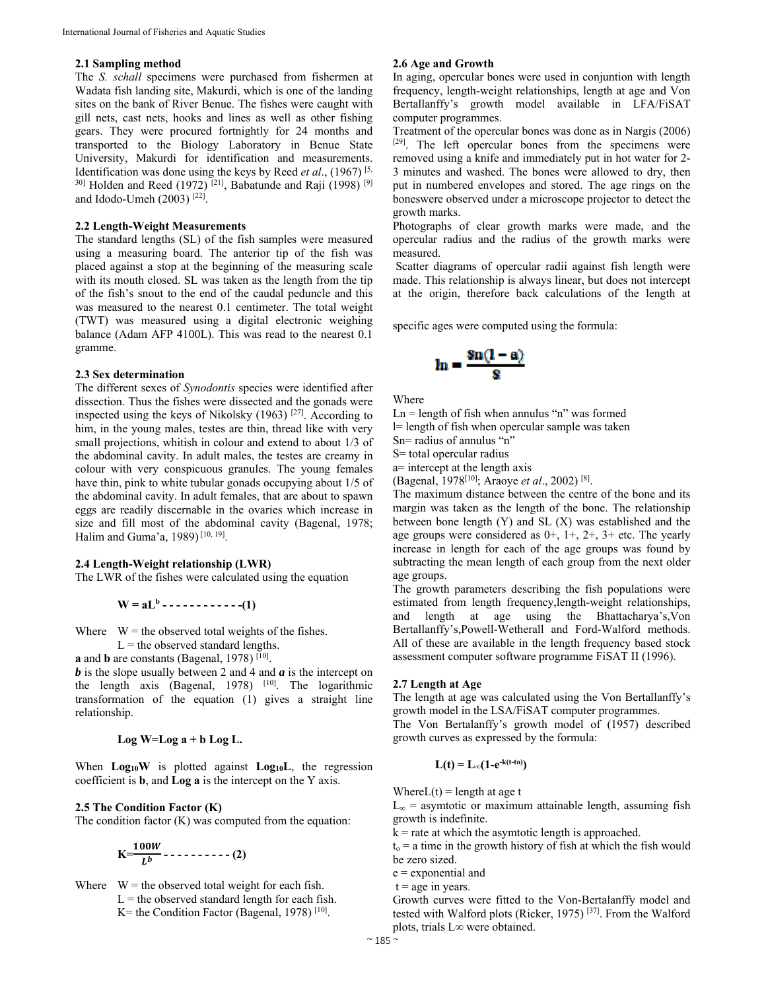# **2.1 Sampling method**

The *S. schall* specimens were purchased from fishermen at Wadata fish landing site, Makurdi, which is one of the landing sites on the bank of River Benue. The fishes were caught with gill nets, cast nets, hooks and lines as well as other fishing gears. They were procured fortnightly for 24 months and transported to the Biology Laboratory in Benue State University, Makurdi for identification and measurements. Identification was done using the keys by Reed *et al*., (1967) [5,  $30$ ] Holden and Reed (1972)<sup>[21]</sup>, Babatunde and Raji (1998)<sup>[9]</sup> and Idodo-Umeh (2003) [22].

## **2.2 Length-Weight Measurements**

The standard lengths (SL) of the fish samples were measured using a measuring board. The anterior tip of the fish was placed against a stop at the beginning of the measuring scale with its mouth closed. SL was taken as the length from the tip of the fish's snout to the end of the caudal peduncle and this was measured to the nearest 0.1 centimeter. The total weight (TWT) was measured using a digital electronic weighing balance (Adam AFP 4100L). This was read to the nearest 0.1 gramme.

#### **2.3 Sex determination**

The different sexes of *Synodontis* species were identified after dissection. Thus the fishes were dissected and the gonads were inspected using the keys of Nikolsky  $(1963)$ <sup>[27]</sup>. According to him, in the young males, testes are thin, thread like with very small projections, whitish in colour and extend to about 1/3 of the abdominal cavity. In adult males, the testes are creamy in colour with very conspicuous granules. The young females have thin, pink to white tubular gonads occupying about 1/5 of the abdominal cavity. In adult females, that are about to spawn eggs are readily discernable in the ovaries which increase in size and fill most of the abdominal cavity (Bagenal, 1978; Halim and Guma'a, 1989) [10, 19].

## **2.4 Length-Weight relationship (LWR)**

The LWR of the fishes were calculated using the equation

$$
W = aL^{b} - \cdots - \cdots - \cdots - (1)
$$

Where  $W =$  the observed total weights of the fishes.

$$
L
$$
 = the observed standard lengths.

**a** and **b** are constants (Bagenal, 1978) [10].

*b* is the slope usually between 2 and 4 and *a* is the intercept on the length axis (Bagenal, 1978) <sup>[10]</sup>. The logarithmic transformation of the equation (1) gives a straight line relationship.

$$
Log W = Log a + b Log L.
$$

When **Log**<sup>10</sup>W is plotted against **Log**<sup>10</sup>L, the regression coefficient is **b**, and **Log a** is the intercept on the Y axis.

### **2.5 The Condition Factor (K)**

The condition factor  $(K)$  was computed from the equation:

$$
K=\frac{100W}{L^b}-\cdots-(-2)
$$

Where  $W =$  the observed total weight for each fish.  $L =$  the observed standard length for each fish. K= the Condition Factor (Bagenal, 1978)  $[10]$ .

## **2.6 Age and Growth**

In aging, opercular bones were used in conjuntion with length frequency, length-weight relationships, length at age and Von Bertallanffy's growth model available in LFA/FiSAT computer programmes.

Treatment of the opercular bones was done as in Nargis (2006) [29]. The left opercular bones from the specimens were removed using a knife and immediately put in hot water for 2- 3 minutes and washed. The bones were allowed to dry, then put in numbered envelopes and stored. The age rings on the boneswere observed under a microscope projector to detect the growth marks.

Photographs of clear growth marks were made, and the opercular radius and the radius of the growth marks were measured.

 Scatter diagrams of opercular radii against fish length were made. This relationship is always linear, but does not intercept at the origin, therefore back calculations of the length at

specific ages were computed using the formula:

$$
\ln = \frac{\sin(1-a)}{s}
$$

Where

 $Ln = length of fish when annulus "n" was formed$ l= length of fish when opercular sample was taken

Sn= radius of annulus "n"

S= total opercular radius

a= intercept at the length axis

(Bagenal, 1978[10]; Araoye *et al*., 2002) [8].

The maximum distance between the centre of the bone and its margin was taken as the length of the bone. The relationship between bone length (Y) and SL (X) was established and the age groups were considered as  $0+$ ,  $1+$ ,  $2+$ ,  $3+$  etc. The yearly increase in length for each of the age groups was found by subtracting the mean length of each group from the next older age groups.

The growth parameters describing the fish populations were estimated from length frequency,length-weight relationships, and length at age using the Bhattacharya's,Von Bertallanffy's,Powell-Wetherall and Ford-Walford methods. All of these are available in the length frequency based stock assessment computer software programme FiSAT II (1996).

#### **2.7 Length at Age**

The length at age was calculated using the Von Bertallanffy's growth model in the LSA/FiSAT computer programmes.

The Von Bertalanffy's growth model of (1957) described growth curves as expressed by the formula:

$$
L(t) = L_{\infty}(1-e^{-k(t-t_0)})
$$

Where $L(t)$  = length at age t

 $L_{\infty}$  = asymtotic or maximum attainable length, assuming fish growth is indefinite.

 $k =$  rate at which the asymtotic length is approached.

 $t<sub>o</sub> = a$  time in the growth history of fish at which the fish would be zero sized.

e = exponential and

 $t = age$  in years.

Growth curves were fitted to the Von-Bertalanffy model and tested with Walford plots (Ricker, 1975) [37]. From the Walford plots, trials L∞ were obtained.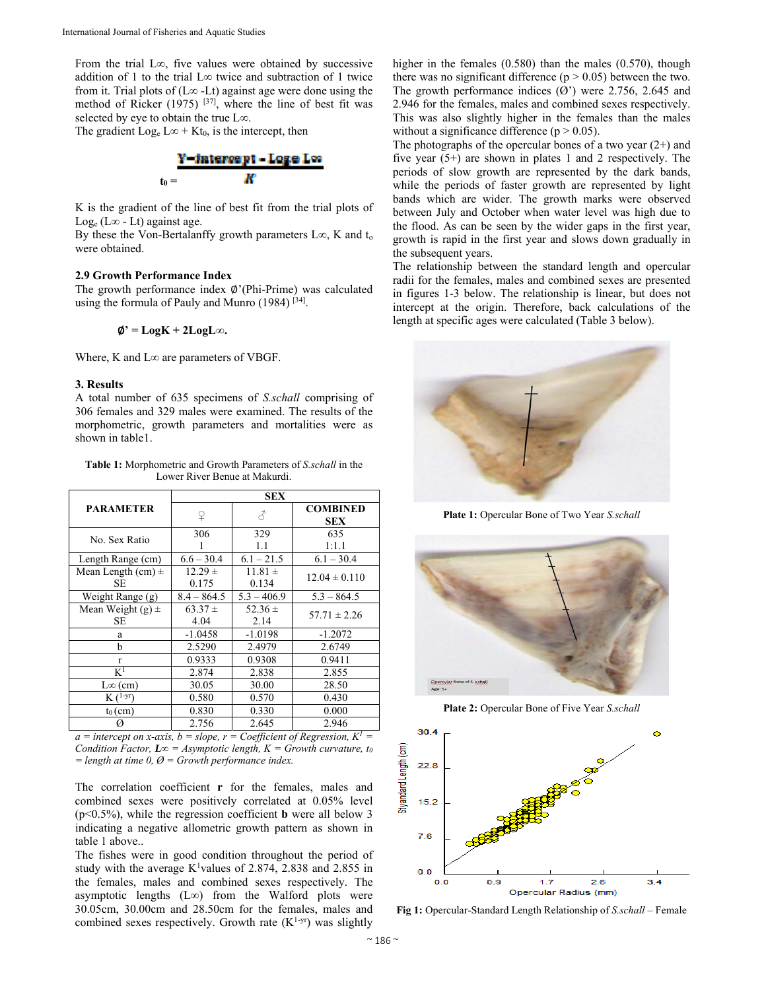From the trial L∞, five values were obtained by successive addition of 1 to the trial L∞ twice and subtraction of 1 twice from it. Trial plots of ( $L<sup>\infty</sup>$  -Lt) against age were done using the method of Ricker (1975)  $[37]$ , where the line of best fit was selected by eye to obtain the true L∞.

The gradient Log<sub>e</sub> L∞ + Kt<sub>0</sub>, is the intercept, then

Y - intercept - Loge Los к  $t_0 =$ 

K is the gradient of the line of best fit from the trial plots of Log<sub>e</sub> (L∞ - Lt) against age.

By these the Von-Bertalanffy growth parameters L∞, K and  $t_0$ were obtained.

# **2.9 Growth Performance Index**

The growth performance index ∅'(Phi-Prime) was calculated using the formula of Pauly and Munro  $(1984)$  [34].

∅**' = LogK + 2LogL∞.**

Where, K and L∞ are parameters of VBGF.

## **3. Results**

A total number of 635 specimens of *S.schall* comprising of 306 females and 329 males were examined. The results of the morphometric, growth parameters and mortalities were as shown in table1.

**Table 1:** Morphometric and Growth Parameters of *S.schall* in the Lower River Benue at Makurdi.

|                              | <b>SEX</b>           |                      |                               |  |  |  |
|------------------------------|----------------------|----------------------|-------------------------------|--|--|--|
| <b>PARAMETER</b>             | ¥                    | 3                    | <b>COMBINED</b><br><b>SEX</b> |  |  |  |
| No. Sex Ratio                | 306                  | 329<br>1.1           | 635<br>1:1.1                  |  |  |  |
| Length Range (cm)            | $6.6 - 30.4$         | $6.1 - 21.5$         | $6.1 - 30.4$                  |  |  |  |
| Mean Length $(cm) \pm$<br>SЕ | $12.29 \pm$<br>0.175 | $11.81 \pm$<br>0.134 | $12.04 \pm 0.110$             |  |  |  |
| Weight Range (g)             | $8.4 - 864.5$        | $5.3 - 406.9$        | $5.3 - 864.5$                 |  |  |  |
| Mean Weight $(g)$ ±<br>SE    | $63.37 \pm$<br>4.04  | 52.36 $\pm$<br>2.14  | $57.71 \pm 2.26$              |  |  |  |
| a                            | $-1.0458$            | $-1.0198$            | $-1.2072$                     |  |  |  |
| h                            | 2.5290               | 2.4979               | 2.6749                        |  |  |  |
| $\mathbf{r}$                 | 0.9333               | 0.9308               | 0.9411                        |  |  |  |
| $\rm K^1$                    | 2.874                | 2.838                | 2.855                         |  |  |  |
| $L\infty$ (cm)               | 30.05                | 30.00                | 28.50                         |  |  |  |
| $K(^{1-yr})$                 | 0.580                | 0.570                | 0.430                         |  |  |  |
| $t_0$ (cm)                   | 0.830                | 0.330                | 0.000                         |  |  |  |
| Ø                            | 2.756                | 2.645                | 2.946                         |  |  |  |

 $a =$  *intercept on x-axis, b = slope, r = Coefficient of Regression, K<sup>1</sup> = Condition Factor, L* $\infty$  = *Asymptotic length, K = Growth curvature, to = length at time 0, Ø = Growth performance index.* 

The correlation coefficient **r** for the females, males and combined sexes were positively correlated at 0.05% level (p<0.5%), while the regression coefficient **b** were all below 3 indicating a negative allometric growth pattern as shown in table 1 above..

The fishes were in good condition throughout the period of study with the average  $K^1$ values of 2.874, 2.838 and 2.855 in the females, males and combined sexes respectively. The asymptotic lengths (L∞) from the Walford plots were 30.05cm, 30.00cm and 28.50cm for the females, males and combined sexes respectively. Growth rate  $(K^{1-yr})$  was slightly

higher in the females (0.580) than the males (0.570), though there was no significant difference ( $p > 0.05$ ) between the two. The growth performance indices  $(\overline{Q})$  were 2.756, 2.645 and 2.946 for the females, males and combined sexes respectively. This was also slightly higher in the females than the males without a significance difference ( $p > 0.05$ ).

The photographs of the opercular bones of a two year  $(2+)$  and five year (5+) are shown in plates 1 and 2 respectively. The periods of slow growth are represented by the dark bands, while the periods of faster growth are represented by light bands which are wider. The growth marks were observed between July and October when water level was high due to the flood. As can be seen by the wider gaps in the first year, growth is rapid in the first year and slows down gradually in the subsequent years.

The relationship between the standard length and opercular radii for the females, males and combined sexes are presented in figures 1-3 below. The relationship is linear, but does not intercept at the origin. Therefore, back calculations of the length at specific ages were calculated (Table 3 below).



**Plate 1:** Opercular Bone of Two Year *S.schall*



**Plate 2:** Opercular Bone of Five Year *S.schall*



**Fig 1:** Opercular-Standard Length Relationship of *S.schall* – Female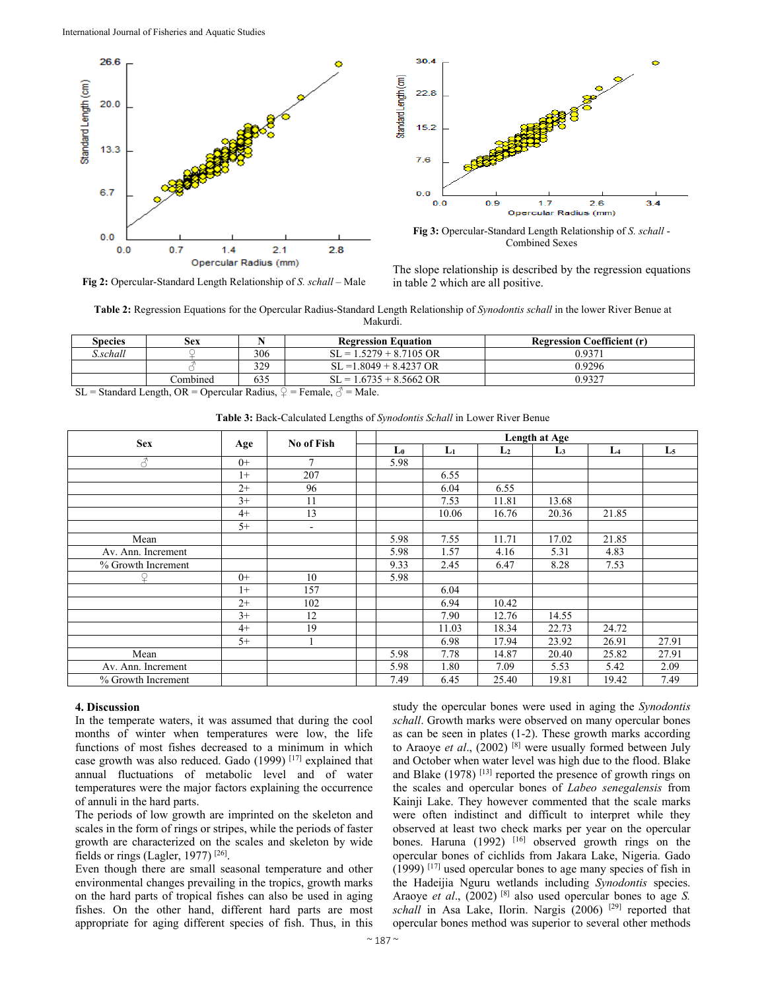



**Fig 3:** Opercular-Standard Length Relationship of *S. schall* - Combined Sexes

**Fig 2:** Opercular-Standard Length Relationship of *S. schall* – Male

The slope relationship is described by the regression equations in table 2 which are all positive.

**Table 2:** Regression Equations for the Opercular Radius-Standard Length Relationship of *Synodontis schall* in the lower River Benue at Makurdi.

| <b>Regression Coefficient (r)</b> | <b>Regression Equation</b>     |               | Sex                                   | <b>Species</b>                 |
|-----------------------------------|--------------------------------|---------------|---------------------------------------|--------------------------------|
| 0.9371                            | $SL = 1.5279 + 8.7105$ OR      | 306           |                                       | .schall                        |
| 0.9296                            | $SL = 1.8049 + 8.4237$ OR      | 329           |                                       |                                |
| 0.9327                            | $SL = 1.6735 + 8.5662$ OR      | 635           | Combined                              |                                |
|                                   | $\sim$ $\sim$ $\sim$<br>$\sim$ | $\sim$ $\sim$ | $\sim$ $\sim$<br>$\sim$<br>$\sim$ 1.1 | $\sim$ $\sim$ $\sim$<br>$\sim$ |

SL = Standard Length, OR = Opercular Radius,  $\varphi$  = Female,  $\varphi$  = Male.

| <b>Sex</b>               | Age  | No of Fish               | Length at Age |       |                |                |                |                |
|--------------------------|------|--------------------------|---------------|-------|----------------|----------------|----------------|----------------|
|                          |      |                          | L0            | L1    | L <sub>2</sub> | L <sub>3</sub> | L <sub>4</sub> | L <sub>5</sub> |
| $\overline{\mathcal{S}}$ | $0+$ | 7                        | 5.98          |       |                |                |                |                |
|                          | $1+$ | 207                      |               | 6.55  |                |                |                |                |
|                          | $2+$ | 96                       |               | 6.04  | 6.55           |                |                |                |
|                          | $3+$ | 11                       |               | 7.53  | 11.81          | 13.68          |                |                |
|                          | $4+$ | 13                       |               | 10.06 | 16.76          | 20.36          | 21.85          |                |
|                          | $5+$ | $\overline{\phantom{a}}$ |               |       |                |                |                |                |
| Mean                     |      |                          | 5.98          | 7.55  | 11.71          | 17.02          | 21.85          |                |
| Av. Ann. Increment       |      |                          | 5.98          | 1.57  | 4.16           | 5.31           | 4.83           |                |
| % Growth Increment       |      |                          | 9.33          | 2.45  | 6.47           | 8.28           | 7.53           |                |
|                          | $0+$ | 10                       | 5.98          |       |                |                |                |                |
|                          | $1+$ | 157                      |               | 6.04  |                |                |                |                |
|                          | $2+$ | 102                      |               | 6.94  | 10.42          |                |                |                |
|                          | $3+$ | 12                       |               | 7.90  | 12.76          | 14.55          |                |                |
|                          | $4+$ | 19                       |               | 11.03 | 18.34          | 22.73          | 24.72          |                |
|                          | $5+$ |                          |               | 6.98  | 17.94          | 23.92          | 26.91          | 27.91          |
| Mean                     |      |                          | 5.98          | 7.78  | 14.87          | 20.40          | 25.82          | 27.91          |
| Av. Ann. Increment       |      |                          | 5.98          | 1.80  | 7.09           | 5.53           | 5.42           | 2.09           |
| % Growth Increment       |      |                          | 7.49          | 6.45  | 25.40          | 19.81          | 19.42          | 7.49           |

**Table 3:** Back-Calculated Lengths of *Synodontis Schall* in Lower River Benue

# **4. Discussion**

In the temperate waters, it was assumed that during the cool months of winter when temperatures were low, the life functions of most fishes decreased to a minimum in which case growth was also reduced. Gado (1999) [17] explained that annual fluctuations of metabolic level and of water temperatures were the major factors explaining the occurrence of annuli in the hard parts.

The periods of low growth are imprinted on the skeleton and scales in the form of rings or stripes, while the periods of faster growth are characterized on the scales and skeleton by wide fields or rings (Lagler, 1977) [26].

Even though there are small seasonal temperature and other environmental changes prevailing in the tropics, growth marks on the hard parts of tropical fishes can also be used in aging fishes. On the other hand, different hard parts are most appropriate for aging different species of fish. Thus, in this

study the opercular bones were used in aging the *Synodontis schall*. Growth marks were observed on many opercular bones as can be seen in plates (1-2). These growth marks according to Araoye *et al*., (2002) [8] were usually formed between July and October when water level was high due to the flood. Blake and Blake (1978)<sup>[13]</sup> reported the presence of growth rings on the scales and opercular bones of *Labeo senegalensis* from Kainji Lake. They however commented that the scale marks were often indistinct and difficult to interpret while they observed at least two check marks per year on the opercular bones. Haruna (1992) <sup>[16]</sup> observed growth rings on the opercular bones of cichlids from Jakara Lake, Nigeria. Gado (1999) [17] used opercular bones to age many species of fish in the Hadeijia Nguru wetlands including *Synodontis* species. Araoye *et al.*, (2002) <sup>[8]</sup> also used opercular bones to age *S*. *schall* in Asa Lake, Ilorin. Nargis (2006) [29] reported that opercular bones method was superior to several other methods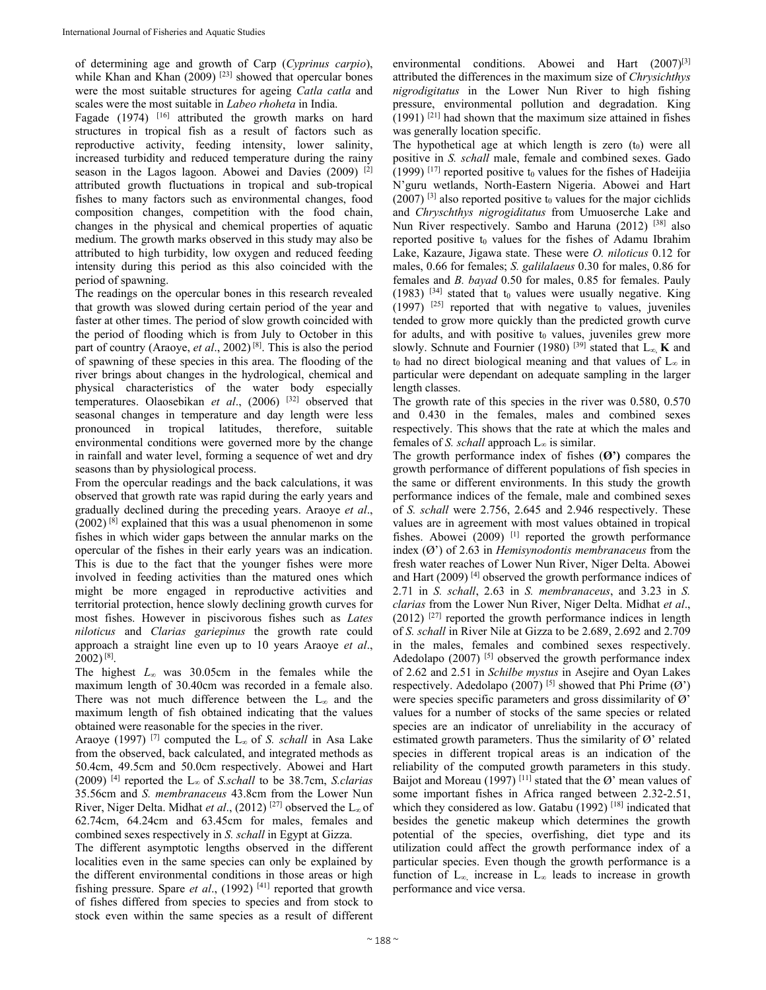of determining age and growth of Carp (*Cyprinus carpio*), while Khan and Khan  $(2009)$ <sup>[23]</sup> showed that opercular bones were the most suitable structures for ageing *Catla catla* and scales were the most suitable in *Labeo rhoheta* in India.

Fagade (1974) <sup>[16]</sup> attributed the growth marks on hard structures in tropical fish as a result of factors such as reproductive activity, feeding intensity, lower salinity, increased turbidity and reduced temperature during the rainy season in the Lagos lagoon. Abowei and Davies (2009) <sup>[2]</sup> attributed growth fluctuations in tropical and sub-tropical fishes to many factors such as environmental changes, food composition changes, competition with the food chain, changes in the physical and chemical properties of aquatic medium. The growth marks observed in this study may also be attributed to high turbidity, low oxygen and reduced feeding intensity during this period as this also coincided with the period of spawning.

The readings on the opercular bones in this research revealed that growth was slowed during certain period of the year and faster at other times. The period of slow growth coincided with the period of flooding which is from July to October in this part of country (Araoye, *et al*., 2002) [8]. This is also the period of spawning of these species in this area. The flooding of the river brings about changes in the hydrological, chemical and physical characteristics of the water body especially temperatures. Olaosebikan *et al*., (2006) [32] observed that seasonal changes in temperature and day length were less pronounced in tropical latitudes, therefore, suitable environmental conditions were governed more by the change in rainfall and water level, forming a sequence of wet and dry seasons than by physiological process.

From the opercular readings and the back calculations, it was observed that growth rate was rapid during the early years and gradually declined during the preceding years. Araoye *et al*.,  $(2002)^{8}$  explained that this was a usual phenomenon in some fishes in which wider gaps between the annular marks on the opercular of the fishes in their early years was an indication. This is due to the fact that the younger fishes were more involved in feeding activities than the matured ones which might be more engaged in reproductive activities and territorial protection, hence slowly declining growth curves for most fishes. However in piscivorous fishes such as *Lates niloticus* and *Clarias gariepinus* the growth rate could approach a straight line even up to 10 years Araoye *et al*., 2002) [8].

The highest *L<sup>∞</sup>* was 30.05cm in the females while the maximum length of 30.40cm was recorded in a female also. There was not much difference between the L<sup>∞</sup> and the maximum length of fish obtained indicating that the values obtained were reasonable for the species in the river.

Araoye (1997) [7] computed the L<sup>∞</sup> of *S. schall* in Asa Lake from the observed, back calculated, and integrated methods as 50.4cm, 49.5cm and 50.0cm respectively. Abowei and Hart (2009) [4] reported the L<sup>∞</sup> of *S.schall* to be 38.7cm, *S.clarias* 35.56cm and *S. membranaceus* 43.8cm from the Lower Nun River, Niger Delta. Midhat *et al*., (2012) [27] observed the L<sup>∞</sup> of 62.74cm, 64.24cm and 63.45cm for males, females and combined sexes respectively in *S. schall* in Egypt at Gizza.

The different asymptotic lengths observed in the different localities even in the same species can only be explained by the different environmental conditions in those areas or high fishing pressure. Spare *et al.*, (1992)<sup>[41]</sup> reported that growth of fishes differed from species to species and from stock to stock even within the same species as a result of different

environmental conditions. Abowei and Hart  $(2007)^{[3]}$ attributed the differences in the maximum size of *Chrysichthys nigrodigitatus* in the Lower Nun River to high fishing pressure, environmental pollution and degradation. King  $(1991)$  <sup>[21]</sup> had shown that the maximum size attained in fishes was generally location specific.

The hypothetical age at which length is zero  $(t_0)$  were all positive in *S. schall* male, female and combined sexes. Gado (1999)  $[17]$  reported positive t<sub>0</sub> values for the fishes of Hadeijia N'guru wetlands, North-Eastern Nigeria. Abowei and Hart  $(2007)$ <sup>[3]</sup> also reported positive t<sub>0</sub> values for the major cichlids and *Chryschthys nigrogiditatus* from Umuoserche Lake and Nun River respectively. Sambo and Haruna (2012) [38] also reported positive  $t_0$  values for the fishes of Adamu Ibrahim Lake, Kazaure, Jigawa state. These were *O. niloticus* 0.12 for males, 0.66 for females; *S. galilalaeus* 0.30 for males, 0.86 for females and *B. bayad* 0.50 for males, 0.85 for females. Pauly (1983)  $[34]$  stated that t<sub>0</sub> values were usually negative. King  $(1997)$  <sup>[25]</sup> reported that with negative t<sub>0</sub> values, juveniles tended to grow more quickly than the predicted growth curve for adults, and with positive  $t_0$  values, juveniles grew more slowly. Schnute and Fournier (1980) <sup>[39]</sup> stated that  $L_{\infty}$ , **K** and t<sub>0</sub> had no direct biological meaning and that values of  $L_{\infty}$  in particular were dependant on adequate sampling in the larger length classes.

The growth rate of this species in the river was 0.580, 0.570 and 0.430 in the females, males and combined sexes respectively. This shows that the rate at which the males and females of *S. schall* approach L∞ is similar.

The growth performance index of fishes (**Ø')** compares the growth performance of different populations of fish species in the same or different environments. In this study the growth performance indices of the female, male and combined sexes of *S. schall* were 2.756, 2.645 and 2.946 respectively. These values are in agreement with most values obtained in tropical fishes. Abowei (2009) <sup>[1]</sup> reported the growth performance index (Ø') of 2.63 in *Hemisynodontis membranaceus* from the fresh water reaches of Lower Nun River, Niger Delta. Abowei and Hart (2009) [4] observed the growth performance indices of 2.71 in *S. schall*, 2.63 in *S. membranaceus*, and 3.23 in *S. clarias* from the Lower Nun River, Niger Delta. Midhat *et al*.,  $(2012)$  <sup>[27]</sup> reported the growth performance indices in length of *S. schall* in River Nile at Gizza to be 2.689, 2.692 and 2.709 in the males, females and combined sexes respectively. Adedolapo (2007)<sup>[5]</sup> observed the growth performance index of 2.62 and 2.51 in *Schilbe mystus* in Asejire and Oyan Lakes respectively. Adedolapo (2007) <sup>[5]</sup> showed that Phi Prime ( $\varnothing$ ) were species specific parameters and gross dissimilarity of  $\varnothing$ values for a number of stocks of the same species or related species are an indicator of unreliability in the accuracy of estimated growth parameters. Thus the similarity of  $\varnothing$ ' related species in different tropical areas is an indication of the reliability of the computed growth parameters in this study. Baijot and Moreau (1997) <sup>[11]</sup> stated that the Ø' mean values of some important fishes in Africa ranged between 2.32-2.51, which they considered as low. Gatabu (1992)<sup>[18]</sup> indicated that besides the genetic makeup which determines the growth potential of the species, overfishing, diet type and its utilization could affect the growth performance index of a particular species. Even though the growth performance is a function of  $L_{\infty}$  increase in  $L_{\infty}$  leads to increase in growth performance and vice versa.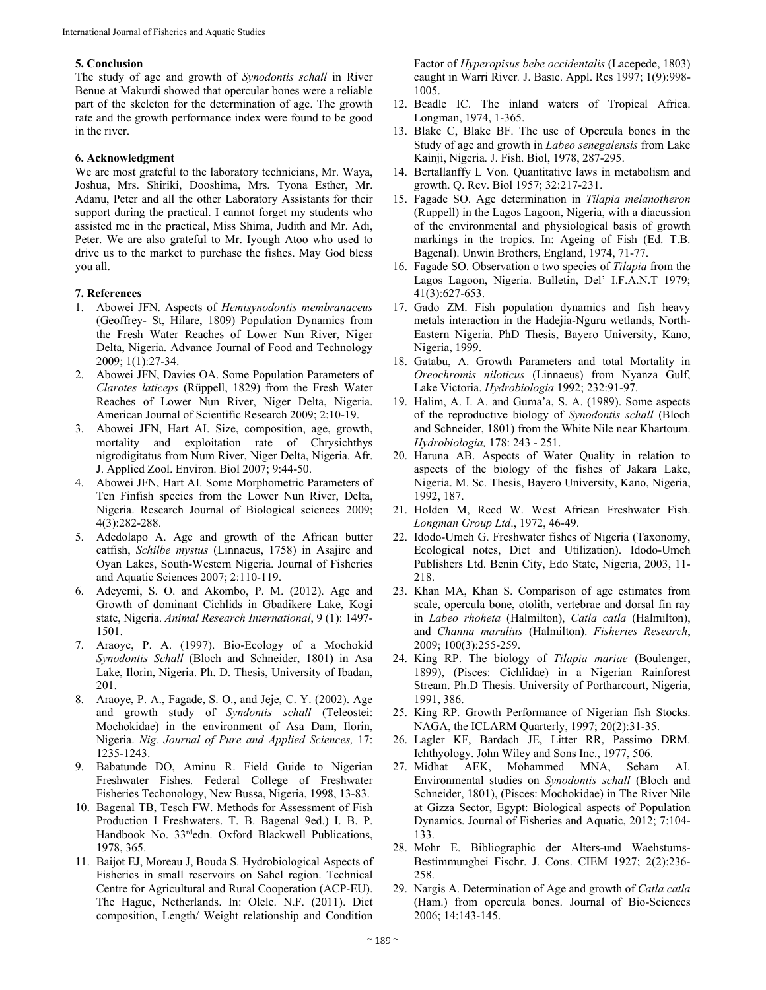# **5. Conclusion**

The study of age and growth of *Synodontis schall* in River Benue at Makurdi showed that opercular bones were a reliable part of the skeleton for the determination of age. The growth rate and the growth performance index were found to be good in the river.

## **6. Acknowledgment**

We are most grateful to the laboratory technicians, Mr. Waya, Joshua, Mrs. Shiriki, Dooshima, Mrs. Tyona Esther, Mr. Adanu, Peter and all the other Laboratory Assistants for their support during the practical. I cannot forget my students who assisted me in the practical, Miss Shima, Judith and Mr. Adi, Peter. We are also grateful to Mr. Iyough Atoo who used to drive us to the market to purchase the fishes. May God bless you all.

### **7. References**

- 1. Abowei JFN. Aspects of *Hemisynodontis membranaceus*  (Geoffrey- St, Hilare, 1809) Population Dynamics from the Fresh Water Reaches of Lower Nun River, Niger Delta, Nigeria. Advance Journal of Food and Technology 2009; 1(1):27-34.
- 2. Abowei JFN, Davies OA. Some Population Parameters of *Clarotes laticeps* (Rüppell, 1829) from the Fresh Water Reaches of Lower Nun River, Niger Delta, Nigeria. American Journal of Scientific Research 2009; 2:10-19.
- 3. Abowei JFN, Hart AI. Size, composition, age, growth, mortality and exploitation rate of Chrysichthys nigrodigitatus from Num River, Niger Delta, Nigeria. Afr. J. Applied Zool. Environ. Biol 2007; 9:44-50.
- 4. Abowei JFN, Hart AI. Some Morphometric Parameters of Ten Finfish species from the Lower Nun River, Delta, Nigeria. Research Journal of Biological sciences 2009; 4(3):282-288.
- 5. Adedolapo A. Age and growth of the African butter catfish, *Schilbe mystus* (Linnaeus, 1758) in Asajire and Oyan Lakes, South-Western Nigeria. Journal of Fisheries and Aquatic Sciences 2007; 2:110-119.
- 6. Adeyemi, S. O. and Akombo, P. M. (2012). Age and Growth of dominant Cichlids in Gbadikere Lake, Kogi state, Nigeria. *Animal Research International*, 9 (1): 1497- 1501.
- 7. Araoye, P. A. (1997). Bio-Ecology of a Mochokid *Synodontis Schall* (Bloch and Schneider, 1801) in Asa Lake, Ilorin, Nigeria. Ph. D. Thesis, University of Ibadan, 201.
- 8. Araoye, P. A., Fagade, S. O., and Jeje, C. Y. (2002). Age and growth study of *Syndontis schall* (Teleostei: Mochokidae) in the environment of Asa Dam, Ilorin, Nigeria. *Nig. Journal of Pure and Applied Sciences,* 17: 1235-1243.
- 9. Babatunde DO, Aminu R. Field Guide to Nigerian Freshwater Fishes. Federal College of Freshwater Fisheries Techonology, New Bussa, Nigeria, 1998, 13-83.
- 10. Bagenal TB, Tesch FW. Methods for Assessment of Fish Production I Freshwaters. T. B. Bagenal 9ed.) I. B. P. Handbook No. 33<sup>rd</sup>edn. Oxford Blackwell Publications, 1978, 365.
- 11. Baijot EJ, Moreau J, Bouda S. Hydrobiological Aspects of Fisheries in small reservoirs on Sahel region. Technical Centre for Agricultural and Rural Cooperation (ACP-EU). The Hague, Netherlands. In: Olele. N.F. (2011). Diet composition, Length/ Weight relationship and Condition

Factor of *Hyperopisus bebe occidentalis* (Lacepede, 1803) caught in Warri River*.* J. Basic. Appl. Res 1997; 1(9):998- 1005.

- 12. Beadle IC. The inland waters of Tropical Africa. Longman, 1974, 1-365.
- 13. Blake C, Blake BF. The use of Opercula bones in the Study of age and growth in *Labeo senegalensis* from Lake Kainji, Nigeria. J. Fish. Biol, 1978, 287-295.
- 14. Bertallanffy L Von. Quantitative laws in metabolism and growth. Q. Rev. Biol 1957; 32:217-231.
- 15. Fagade SO. Age determination in *Tilapia melanotheron* (Ruppell) in the Lagos Lagoon, Nigeria, with a diacussion of the environmental and physiological basis of growth markings in the tropics. In: Ageing of Fish (Ed. T.B. Bagenal). Unwin Brothers, England, 1974, 71-77.
- 16. Fagade SO. Observation o two species of *Tilapia* from the Lagos Lagoon, Nigeria. Bulletin, Del' I.F.A.N.T 1979; 41(3):627-653.
- 17. Gado ZM. Fish population dynamics and fish heavy metals interaction in the Hadejia-Nguru wetlands, North-Eastern Nigeria. PhD Thesis, Bayero University, Kano, Nigeria, 1999.
- 18. Gatabu, A. Growth Parameters and total Mortality in *Oreochromis niloticus* (Linnaeus) from Nyanza Gulf, Lake Victoria. *Hydrobiologia* 1992; 232:91-97.
- 19. Halim, A. I. A. and Guma'a, S. A. (1989). Some aspects of the reproductive biology of *Synodontis schall* (Bloch and Schneider, 1801) from the White Nile near Khartoum. *Hydrobiologia,* 178: 243 - 251.
- 20. Haruna AB. Aspects of Water Quality in relation to aspects of the biology of the fishes of Jakara Lake, Nigeria. M. Sc. Thesis, Bayero University, Kano, Nigeria, 1992, 187.
- 21. Holden M, Reed W. West African Freshwater Fish. *Longman Group Ltd*., 1972, 46-49.
- 22. Idodo-Umeh G. Freshwater fishes of Nigeria (Taxonomy, Ecological notes, Diet and Utilization). Idodo-Umeh Publishers Ltd. Benin City, Edo State, Nigeria, 2003, 11- 218.
- 23. Khan MA, Khan S. Comparison of age estimates from scale, opercula bone, otolith, vertebrae and dorsal fin ray in *Labeo rhoheta* (Halmilton), *Catla catla* (Halmilton), and *Channa marulius* (Halmilton). *Fisheries Research*, 2009; 100(3):255-259.
- 24. King RP. The biology of *Tilapia mariae* (Boulenger, 1899), (Pisces: Cichlidae) in a Nigerian Rainforest Stream. Ph.D Thesis. University of Portharcourt, Nigeria, 1991, 386.
- 25. King RP. Growth Performance of Nigerian fish Stocks. NAGA, the ICLARM Quarterly, 1997; 20(2):31-35.
- 26. Lagler KF, Bardach JE, Litter RR, Passimo DRM. Ichthyology. John Wiley and Sons Inc., 1977, 506.
- 27. Midhat AEK, Mohammed MNA, Seham AI. Environmental studies on *Synodontis schall* (Bloch and Schneider, 1801), (Pisces: Mochokidae) in The River Nile at Gizza Sector, Egypt: Biological aspects of Population Dynamics. Journal of Fisheries and Aquatic, 2012; 7:104- 133.
- 28. Mohr E. Bibliographic der Alters-und Waehstums-Bestimmungbei Fischr. J. Cons. CIEM 1927; 2(2):236- 258.
- 29. Nargis A. Determination of Age and growth of *Catla catla* (Ham.) from opercula bones. Journal of Bio-Sciences 2006; 14:143-145.